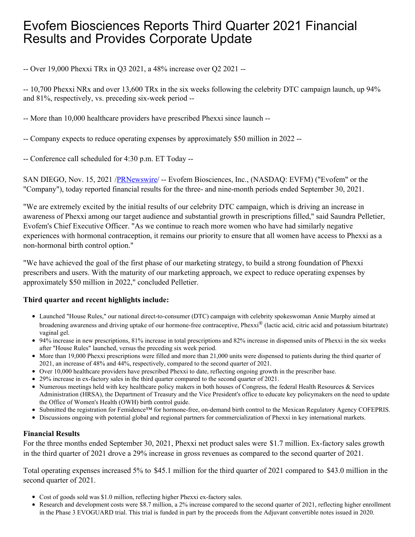# Evofem Biosciences Reports Third Quarter 2021 Financial Results and Provides Corporate Update

-- Over 19,000 Phexxi TRx in Q3 2021, a 48% increase over Q2 2021 --

-- 10,700 Phexxi NRx and over 13,600 TRx in the six weeks following the celebrity DTC campaign launch, up 94% and 81%, respectively, vs. preceding six-week period --

-- More than 10,000 healthcare providers have prescribed Phexxi since launch --

-- Company expects to reduce operating expenses by approximately \$50 million in 2022 --

-- Conference call scheduled for 4:30 p.m. ET Today --

SAN DIEGO, Nov. 15, 2021 [/PRNewswire](http://www.prnewswire.com/)/ -- Evofem Biosciences, Inc., (NASDAQ: EVFM) ("Evofem" or the "Company"), today reported financial results for the three- and nine-month periods ended September 30, 2021.

"We are extremely excited by the initial results of our celebrity DTC campaign, which is driving an increase in awareness of Phexxi among our target audience and substantial growth in prescriptions filled," said Saundra Pelletier, Evofem's Chief Executive Officer. "As we continue to reach more women who have had similarly negative experiences with hormonal contraception, it remains our priority to ensure that all women have access to Phexxi as a non-hormonal birth control option."

"We have achieved the goal of the first phase of our marketing strategy, to build a strong foundation of Phexxi prescribers and users. With the maturity of our marketing approach, we expect to reduce operating expenses by approximately \$50 million in 2022," concluded Pelletier.

## **Third quarter and recent highlights include:**

- Launched "House Rules," our national direct-to-consumer (DTC) campaign with celebrity spokeswoman Annie Murphy aimed at broadening awareness and driving uptake of our hormone-free contraceptive, Phexxi<sup>®</sup> (lactic acid, citric acid and potassium bitartrate) vaginal gel.
- 94% increase in new prescriptions, 81% increase in total prescriptions and 82% increase in dispensed units of Phexxi in the six weeks after "House Rules" launched, versus the preceding six week period.
- More than 19,000 Phexxi prescriptions were filled and more than 21,000 units were dispensed to patients during the third quarter of 2021, an increase of 48% and 44%, respectively, compared to the second quarter of 2021.
- Over 10,000 healthcare providers have prescribed Phexxi to date, reflecting ongoing growth in the prescriber base.
- 29% increase in ex-factory sales in the third quarter compared to the second quarter of 2021.
- Numerous meetings held with key healthcare policy makers in both houses of Congress, the federal Health Resources & Services Administration (HRSA), the Department of Treasury and the Vice President's office to educate key policymakers on the need to update the Office of Women's Health (OWH) birth control guide.
- Submitted the registration for Femidence™ for hormone-free, on-demand birth control to the Mexican Regulatory Agency COFEPRIS.
- Discussions ongoing with potential global and regional partners for commercialization of Phexxi in key international markets.

## **Financial Results**

For the three months ended September 30, 2021, Phexxi net product sales were \$1.7 million. Ex-factory sales growth in the third quarter of 2021 drove a 29% increase in gross revenues as compared to the second quarter of 2021.

Total operating expenses increased 5% to \$45.1 million for the third quarter of 2021 compared to \$43.0 million in the second quarter of 2021.

- Cost of goods sold was \$1.0 million, reflecting higher Phexxi ex-factory sales.
- Research and development costs were \$8.7 million, a 2% increase compared to the second quarter of 2021, reflecting higher enrollment in the Phase 3 EVOGUARD trial. This trial is funded in part by the proceeds from the Adjuvant convertible notes issued in 2020.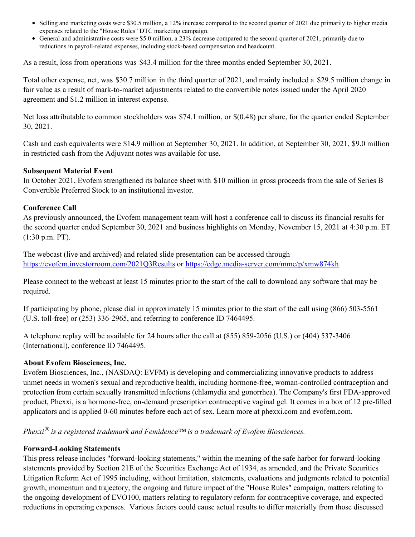- Selling and marketing costs were \$30.5 million, a 12% increase compared to the second quarter of 2021 due primarily to higher media expenses related to the "House Rules" DTC marketing campaign.
- General and administrative costs were \$5.0 million, a 23% decrease compared to the second quarter of 2021, primarily due to reductions in payroll-related expenses, including stock-based compensation and headcount.

As a result, loss from operations was \$43.4 million for the three months ended September 30, 2021.

Total other expense, net, was \$30.7 million in the third quarter of 2021, and mainly included a \$29.5 million change in fair value as a result of mark-to-market adjustments related to the convertible notes issued under the April 2020 agreement and \$1.2 million in interest expense.

Net loss attributable to common stockholders was \$74.1 million, or \$(0.48) per share, for the quarter ended September 30, 2021.

Cash and cash equivalents were \$14.9 million at September 30, 2021. In addition, at September 30, 2021, \$9.0 million in restricted cash from the Adjuvant notes was available for use.

## **Subsequent Material Event**

In October 2021, Evofem strengthened its balance sheet with \$10 million in gross proceeds from the sale of Series B Convertible Preferred Stock to an institutional investor.

## **Conference Call**

As previously announced, the Evofem management team will host a conference call to discuss its financial results for the second quarter ended September 30, 2021 and business highlights on Monday, November 15, 2021 at 4:30 p.m. ET (1:30 p.m. PT).

The webcast (live and archived) and related slide presentation can be accessed through [https://evofem.investorroom.com/2021Q3Results](https://c212.net/c/link/?t=0&l=en&o=3359493-1&h=4280195162&u=https%3A%2F%2Fevofem.investorroom.com%2F2021Q3Results&a=https%3A%2F%2Fevofem.investorroom.com%2F2021Q3Results) or [https://edge.media-server.com/mmc/p/xmw874kh](https://c212.net/c/link/?t=0&l=en&o=3359493-1&h=29040006&u=https%3A%2F%2Fedge.media-server.com%2Fmmc%2Fp%2Fxmw874kh&a=https%3A%2F%2Fedge.media-server.com%2Fmmc%2Fp%2Fxmw874kh).

Please connect to the webcast at least 15 minutes prior to the start of the call to download any software that may be required.

If participating by phone, please dial in approximately 15 minutes prior to the start of the call using (866) 503-5561 (U.S. toll-free) or (253) 336-2965, and referring to conference ID 7464495.

A telephone replay will be available for 24 hours after the call at (855) 859-2056 (U.S.) or (404) 537-3406 (International), conference ID 7464495.

### **About Evofem Biosciences, Inc.**

Evofem Biosciences, Inc., (NASDAQ: EVFM) is developing and commercializing innovative products to address unmet needs in women's sexual and reproductive health, including hormone-free, woman-controlled contraception and protection from certain sexually transmitted infections (chlamydia and gonorrhea). The Company's first FDA-approved product, Phexxi, is a hormone-free, on-demand prescription contraceptive vaginal gel. It comes in a box of 12 pre-filled applicators and is applied 0-60 minutes before each act of sex. Learn more at phexxi.com and evofem.com.

*Phexxi® is a registered trademark and Femidence™ is a trademark of Evofem Biosciences.*

## **Forward-Looking Statements**

This press release includes "forward-looking statements," within the meaning of the safe harbor for forward-looking statements provided by Section 21E of the Securities Exchange Act of 1934, as amended, and the Private Securities Litigation Reform Act of 1995 including, without limitation, statements, evaluations and judgments related to potential growth, momentum and trajectory, the ongoing and future impact of the "House Rules" campaign, matters relating to the ongoing development of EVO100, matters relating to regulatory reform for contraceptive coverage, and expected reductions in operating expenses. Various factors could cause actual results to differ materially from those discussed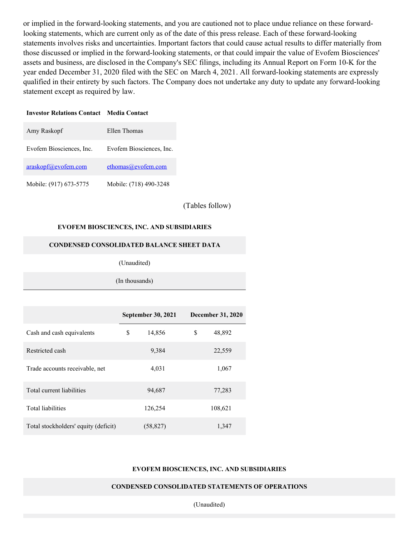or implied in the forward-looking statements, and you are cautioned not to place undue reliance on these forwardlooking statements, which are current only as of the date of this press release. Each of these forward-looking statements involves risks and uncertainties. Important factors that could cause actual results to differ materially from those discussed or implied in the forward-looking statements, or that could impair the value of Evofem Biosciences' assets and business, are disclosed in the Company's SEC filings, including its Annual Report on Form 10-K for the year ended December 31, 2020 filed with the SEC on March 4, 2021. All forward-looking statements are expressly qualified in their entirety by such factors. The Company does not undertake any duty to update any forward-looking statement except as required by law.

#### **Investor Relations Contact Media Contact**

| Amy Raskopf                   | Ellen Thomas             |
|-------------------------------|--------------------------|
| Evofem Biosciences, Inc.      | Evofem Biosciences, Inc. |
| $araskopf(\alpha)$ evofem.com | ethomas@evofem.com       |
| Mobile: (917) 673-5775        | Mobile: (718) 490-3248   |

(Tables follow)

#### **EVOFEM BIOSCIENCES, INC. AND SUBSIDIARIES**

#### **CONDENSED CONSOLIDATED BALANCE SHEET DATA**

(Unaudited)

(In thousands)

|                                      | <b>September 30, 2021</b> |           | <b>December 31, 2020</b> |         |
|--------------------------------------|---------------------------|-----------|--------------------------|---------|
| Cash and cash equivalents            | \$                        | 14,856    | \$                       | 48,892  |
| Restricted cash                      |                           | 9,384     |                          | 22,559  |
| Trade accounts receivable, net       |                           | 4,031     |                          | 1,067   |
| Total current liabilities            |                           | 94,687    |                          | 77,283  |
| <b>Total liabilities</b>             |                           | 126,254   |                          | 108,621 |
| Total stockholders' equity (deficit) |                           | (58, 827) |                          | 1,347   |

#### **EVOFEM BIOSCIENCES, INC. AND SUBSIDIARIES**

#### **CONDENSED CONSOLIDATED STATEMENTS OF OPERATIONS**

(Unaudited)